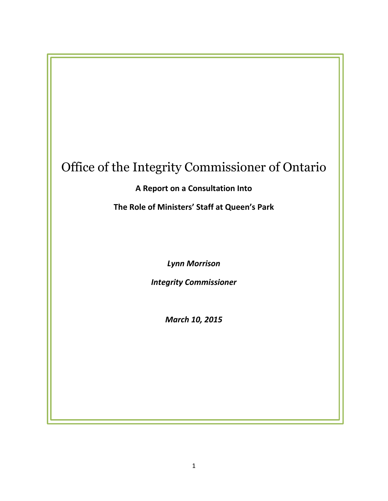# Office of the Integrity Commissioner of Ontario

 $\overline{a}$ 

A Report on a Consultation Into

The Role of Ministers' Staff at Queen's Park

Lynn Morrison

Integrity Commissioner

March 10, 2015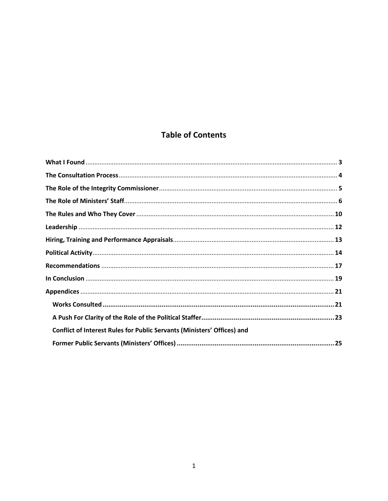# **Table of Contents**

| <b>Conflict of Interest Rules for Public Servants (Ministers' Offices) and</b> |  |
|--------------------------------------------------------------------------------|--|
|                                                                                |  |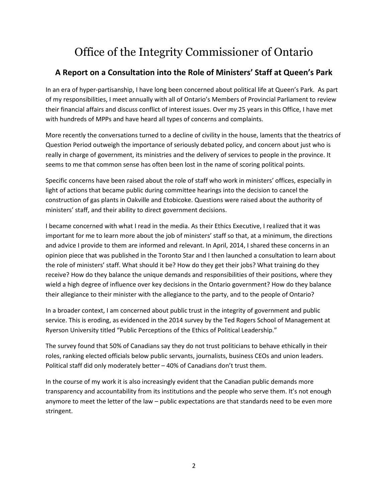# Office of the Integrity Commissioner of Ontario

# A Report on a Consultation into the Role of Ministers' Staff at Queen's Park

In an era of hyper-partisanship, I have long been concerned about political life at Queen's Park. As part of my responsibilities, I meet annually with all of Ontario's Members of Provincial Parliament to review their financial affairs and discuss conflict of interest issues. Over my 25 years in this Office, I have met with hundreds of MPPs and have heard all types of concerns and complaints.

More recently the conversations turned to a decline of civility in the house, laments that the theatrics of Question Period outweigh the importance of seriously debated policy, and concern about just who is really in charge of government, its ministries and the delivery of services to people in the province. It seems to me that common sense has often been lost in the name of scoring political points.

Specific concerns have been raised about the role of staff who work in ministers' offices, especially in light of actions that became public during committee hearings into the decision to cancel the construction of gas plants in Oakville and Etobicoke. Questions were raised about the authority of ministers' staff, and their ability to direct government decisions.

I became concerned with what I read in the media. As their Ethics Executive, I realized that it was important for me to learn more about the job of ministers' staff so that, at a minimum, the directions and advice I provide to them are informed and relevant. In April, 2014, I shared these concerns in an opinion piece that was published in the Toronto Star and I then launched a consultation to learn about the role of ministers' staff. What should it be? How do they get their jobs? What training do they receive? How do they balance the unique demands and responsibilities of their positions, where they wield a high degree of influence over key decisions in the Ontario government? How do they balance their allegiance to their minister with the allegiance to the party, and to the people of Ontario?

In a broader context, I am concerned about public trust in the integrity of government and public service. This is eroding, as evidenced in the 2014 survey by the Ted Rogers School of Management at Ryerson University titled "Public Perceptions of the Ethics of Political Leadership."

The survey found that 50% of Canadians say they do not trust politicians to behave ethically in their roles, ranking elected officials below public servants, journalists, business CEOs and union leaders. Political staff did only moderately better – 40% of Canadians don't trust them.

In the course of my work it is also increasingly evident that the Canadian public demands more transparency and accountability from its institutions and the people who serve them. It's not enough anymore to meet the letter of the law – public expectations are that standards need to be even more stringent.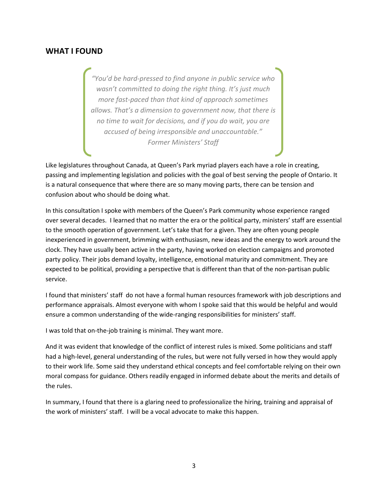## WHAT I FOUND

"You'd be hard-pressed to find anyone in public service who wasn't committed to doing the right thing. It's just much more fast-paced than that kind of approach sometimes allows. That's a dimension to government now, that there is no time to wait for decisions, and if you do wait, you are accused of being irresponsible and unaccountable." Former Ministers' Staff

Like legislatures throughout Canada, at Queen's Park myriad players each have a role in creating, passing and implementing legislation and policies with the goal of best serving the people of Ontario. It is a natural consequence that where there are so many moving parts, there can be tension and confusion about who should be doing what.

In this consultation I spoke with members of the Queen's Park community whose experience ranged over several decades. I learned that no matter the era or the political party, ministers' staff are essential to the smooth operation of government. Let's take that for a given. They are often young people inexperienced in government, brimming with enthusiasm, new ideas and the energy to work around the clock. They have usually been active in the party, having worked on election campaigns and promoted party policy. Their jobs demand loyalty, intelligence, emotional maturity and commitment. They are expected to be political, providing a perspective that is different than that of the non-partisan public service.

I found that ministers' staff do not have a formal human resources framework with job descriptions and performance appraisals. Almost everyone with whom I spoke said that this would be helpful and would ensure a common understanding of the wide-ranging responsibilities for ministers' staff.

I was told that on-the-job training is minimal. They want more.

And it was evident that knowledge of the conflict of interest rules is mixed. Some politicians and staff had a high-level, general understanding of the rules, but were not fully versed in how they would apply to their work life. Some said they understand ethical concepts and feel comfortable relying on their own moral compass for guidance. Others readily engaged in informed debate about the merits and details of the rules.

In summary, I found that there is a glaring need to professionalize the hiring, training and appraisal of the work of ministers' staff. I will be a vocal advocate to make this happen.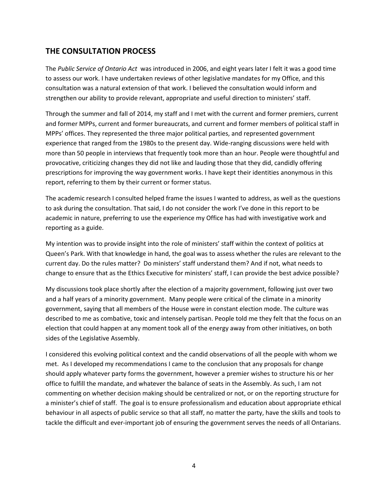# THE CONSULTATION PROCESS

The Public Service of Ontario Act was introduced in 2006, and eight years later I felt it was a good time to assess our work. I have undertaken reviews of other legislative mandates for my Office, and this consultation was a natural extension of that work. I believed the consultation would inform and strengthen our ability to provide relevant, appropriate and useful direction to ministers' staff.

Through the summer and fall of 2014, my staff and I met with the current and former premiers, current and former MPPs, current and former bureaucrats, and current and former members of political staff in MPPs' offices. They represented the three major political parties, and represented government experience that ranged from the 1980s to the present day. Wide-ranging discussions were held with more than 50 people in interviews that frequently took more than an hour. People were thoughtful and provocative, criticizing changes they did not like and lauding those that they did, candidly offering prescriptions for improving the way government works. I have kept their identities anonymous in this report, referring to them by their current or former status.

The academic research I consulted helped frame the issues I wanted to address, as well as the questions to ask during the consultation. That said, I do not consider the work I've done in this report to be academic in nature, preferring to use the experience my Office has had with investigative work and reporting as a guide.

My intention was to provide insight into the role of ministers' staff within the context of politics at Queen's Park. With that knowledge in hand, the goal was to assess whether the rules are relevant to the current day. Do the rules matter? Do ministers' staff understand them? And if not, what needs to change to ensure that as the Ethics Executive for ministers' staff, I can provide the best advice possible?

My discussions took place shortly after the election of a majority government, following just over two and a half years of a minority government. Many people were critical of the climate in a minority government, saying that all members of the House were in constant election mode. The culture was described to me as combative, toxic and intensely partisan. People told me they felt that the focus on an election that could happen at any moment took all of the energy away from other initiatives, on both sides of the Legislative Assembly.

I considered this evolving political context and the candid observations of all the people with whom we met. As I developed my recommendations I came to the conclusion that any proposals for change should apply whatever party forms the government, however a premier wishes to structure his or her office to fulfill the mandate, and whatever the balance of seats in the Assembly. As such, I am not commenting on whether decision making should be centralized or not, or on the reporting structure for a minister's chief of staff. The goal is to ensure professionalism and education about appropriate ethical behaviour in all aspects of public service so that all staff, no matter the party, have the skills and tools to tackle the difficult and ever-important job of ensuring the government serves the needs of all Ontarians.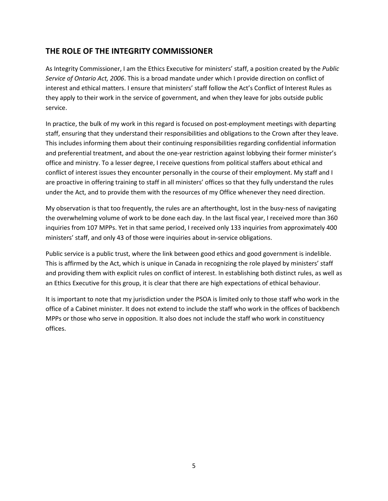# THE ROLE OF THE INTEGRITY COMMISSIONER

As Integrity Commissioner, I am the Ethics Executive for ministers' staff, a position created by the Public Service of Ontario Act, 2006. This is a broad mandate under which I provide direction on conflict of interest and ethical matters. I ensure that ministers' staff follow the Act's Conflict of Interest Rules as they apply to their work in the service of government, and when they leave for jobs outside public service.

In practice, the bulk of my work in this regard is focused on post-employment meetings with departing staff, ensuring that they understand their responsibilities and obligations to the Crown after they leave. This includes informing them about their continuing responsibilities regarding confidential information and preferential treatment, and about the one-year restriction against lobbying their former minister's office and ministry. To a lesser degree, I receive questions from political staffers about ethical and conflict of interest issues they encounter personally in the course of their employment. My staff and I are proactive in offering training to staff in all ministers' offices so that they fully understand the rules under the Act, and to provide them with the resources of my Office whenever they need direction.

My observation is that too frequently, the rules are an afterthought, lost in the busy-ness of navigating the overwhelming volume of work to be done each day. In the last fiscal year, I received more than 360 inquiries from 107 MPPs. Yet in that same period, I received only 133 inquiries from approximately 400 ministers' staff, and only 43 of those were inquiries about in-service obligations.

Public service is a public trust, where the link between good ethics and good government is indelible. This is affirmed by the Act, which is unique in Canada in recognizing the role played by ministers' staff and providing them with explicit rules on conflict of interest. In establishing both distinct rules, as well as an Ethics Executive for this group, it is clear that there are high expectations of ethical behaviour.

It is important to note that my jurisdiction under the PSOA is limited only to those staff who work in the office of a Cabinet minister. It does not extend to include the staff who work in the offices of backbench MPPs or those who serve in opposition. It also does not include the staff who work in constituency offices.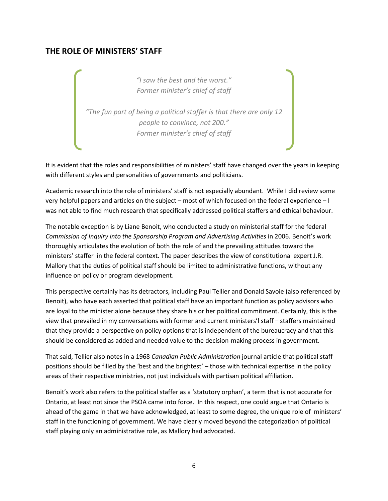# THE ROLE OF MINISTERS' STAFF

"I saw the best and the worst." Former minister's chief of staff

"The fun part of being a political staffer is that there are only 12 people to convince, not 200." Former minister's chief of staff

It is evident that the roles and responsibilities of ministers' staff have changed over the years in keeping with different styles and personalities of governments and politicians.

Academic research into the role of ministers' staff is not especially abundant. While I did review some very helpful papers and articles on the subject – most of which focused on the federal experience – I was not able to find much research that specifically addressed political staffers and ethical behaviour.

The notable exception is by Liane Benoit, who conducted a study on ministerial staff for the federal Commission of Inquiry into the Sponsorship Program and Advertising Activities in 2006. Benoit's work thoroughly articulates the evolution of both the role of and the prevailing attitudes toward the ministers' staffer in the federal context. The paper describes the view of constitutional expert J.R. Mallory that the duties of political staff should be limited to administrative functions, without any influence on policy or program development.

This perspective certainly has its detractors, including Paul Tellier and Donald Savoie (also referenced by Benoit), who have each asserted that political staff have an important function as policy advisors who are loyal to the minister alone because they share his or her political commitment. Certainly, this is the view that prevailed in my conversations with former and current ministers'l staff – staffers maintained that they provide a perspective on policy options that is independent of the bureaucracy and that this should be considered as added and needed value to the decision-making process in government.

That said, Tellier also notes in a 1968 Canadian Public Administration journal article that political staff positions should be filled by the 'best and the brightest' – those with technical expertise in the policy areas of their respective ministries, not just individuals with partisan political affiliation.

Benoit's work also refers to the political staffer as a 'statutory orphan', a term that is not accurate for Ontario, at least not since the PSOA came into force. In this respect, one could argue that Ontario is ahead of the game in that we have acknowledged, at least to some degree, the unique role of ministers' staff in the functioning of government. We have clearly moved beyond the categorization of political staff playing only an administrative role, as Mallory had advocated.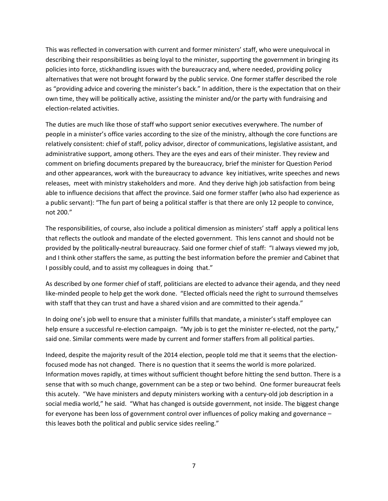This was reflected in conversation with current and former ministers' staff, who were unequivocal in describing their responsibilities as being loyal to the minister, supporting the government in bringing its policies into force, stickhandling issues with the bureaucracy and, where needed, providing policy alternatives that were not brought forward by the public service. One former staffer described the role as "providing advice and covering the minister's back." In addition, there is the expectation that on their own time, they will be politically active, assisting the minister and/or the party with fundraising and election-related activities.

The duties are much like those of staff who support senior executives everywhere. The number of people in a minister's office varies according to the size of the ministry, although the core functions are relatively consistent: chief of staff, policy advisor, director of communications, legislative assistant, and administrative support, among others. They are the eyes and ears of their minister. They review and comment on briefing documents prepared by the bureaucracy, brief the minister for Question Period and other appearances, work with the bureaucracy to advance key initiatives, write speeches and news releases, meet with ministry stakeholders and more. And they derive high job satisfaction from being able to influence decisions that affect the province. Said one former staffer (who also had experience as a public servant): "The fun part of being a political staffer is that there are only 12 people to convince, not 200."

The responsibilities, of course, also include a political dimension as ministers' staff apply a political lens that reflects the outlook and mandate of the elected government. This lens cannot and should not be provided by the politically-neutral bureaucracy. Said one former chief of staff: "I always viewed my job, and I think other staffers the same, as putting the best information before the premier and Cabinet that I possibly could, and to assist my colleagues in doing that."

As described by one former chief of staff, politicians are elected to advance their agenda, and they need like-minded people to help get the work done. "Elected officials need the right to surround themselves with staff that they can trust and have a shared vision and are committed to their agenda."

In doing one's job well to ensure that a minister fulfills that mandate, a minister's staff employee can help ensure a successful re-election campaign. "My job is to get the minister re-elected, not the party," said one. Similar comments were made by current and former staffers from all political parties.

Indeed, despite the majority result of the 2014 election, people told me that it seems that the electionfocused mode has not changed. There is no question that it seems the world is more polarized. Information moves rapidly, at times without sufficient thought before hitting the send button. There is a sense that with so much change, government can be a step or two behind. One former bureaucrat feels this acutely. "We have ministers and deputy ministers working with a century-old job description in a social media world," he said. "What has changed is outside government, not inside. The biggest change for everyone has been loss of government control over influences of policy making and governance – this leaves both the political and public service sides reeling."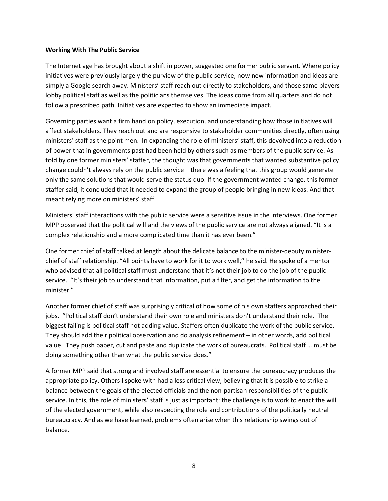#### Working With The Public Service

The Internet age has brought about a shift in power, suggested one former public servant. Where policy initiatives were previously largely the purview of the public service, now new information and ideas are simply a Google search away. Ministers' staff reach out directly to stakeholders, and those same players lobby political staff as well as the politicians themselves. The ideas come from all quarters and do not follow a prescribed path. Initiatives are expected to show an immediate impact.

Governing parties want a firm hand on policy, execution, and understanding how those initiatives will affect stakeholders. They reach out and are responsive to stakeholder communities directly, often using ministers' staff as the point men. In expanding the role of ministers' staff, this devolved into a reduction of power that in governments past had been held by others such as members of the public service. As told by one former ministers' staffer, the thought was that governments that wanted substantive policy change couldn't always rely on the public service – there was a feeling that this group would generate only the same solutions that would serve the status quo. If the government wanted change, this former staffer said, it concluded that it needed to expand the group of people bringing in new ideas. And that meant relying more on ministers' staff.

Ministers' staff interactions with the public service were a sensitive issue in the interviews. One former MPP observed that the political will and the views of the public service are not always aligned. "It is a complex relationship and a more complicated time than it has ever been."

One former chief of staff talked at length about the delicate balance to the minister-deputy ministerchief of staff relationship. "All points have to work for it to work well," he said. He spoke of a mentor who advised that all political staff must understand that it's not their job to do the job of the public service. "It's their job to understand that information, put a filter, and get the information to the minister."

Another former chief of staff was surprisingly critical of how some of his own staffers approached their jobs. "Political staff don't understand their own role and ministers don't understand their role. The biggest failing is political staff not adding value. Staffers often duplicate the work of the public service. They should add their political observation and do analysis refinement – in other words, add political value. They push paper, cut and paste and duplicate the work of bureaucrats. Political staff … must be doing something other than what the public service does."

A former MPP said that strong and involved staff are essential to ensure the bureaucracy produces the appropriate policy. Others I spoke with had a less critical view, believing that it is possible to strike a balance between the goals of the elected officials and the non-partisan responsibilities of the public service. In this, the role of ministers' staff is just as important: the challenge is to work to enact the will of the elected government, while also respecting the role and contributions of the politically neutral bureaucracy. And as we have learned, problems often arise when this relationship swings out of balance.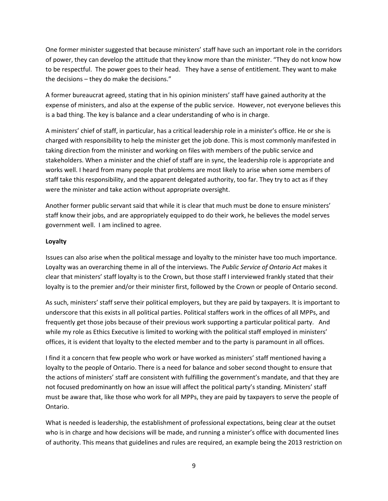One former minister suggested that because ministers' staff have such an important role in the corridors of power, they can develop the attitude that they know more than the minister. "They do not know how to be respectful. The power goes to their head. They have a sense of entitlement. They want to make the decisions – they do make the decisions."

A former bureaucrat agreed, stating that in his opinion ministers' staff have gained authority at the expense of ministers, and also at the expense of the public service. However, not everyone believes this is a bad thing. The key is balance and a clear understanding of who is in charge.

A ministers' chief of staff, in particular, has a critical leadership role in a minister's office. He or she is charged with responsibility to help the minister get the job done. This is most commonly manifested in taking direction from the minister and working on files with members of the public service and stakeholders. When a minister and the chief of staff are in sync, the leadership role is appropriate and works well. I heard from many people that problems are most likely to arise when some members of staff take this responsibility, and the apparent delegated authority, too far. They try to act as if they were the minister and take action without appropriate oversight.

Another former public servant said that while it is clear that much must be done to ensure ministers' staff know their jobs, and are appropriately equipped to do their work, he believes the model serves government well. I am inclined to agree.

#### Loyalty

Issues can also arise when the political message and loyalty to the minister have too much importance. Loyalty was an overarching theme in all of the interviews. The Public Service of Ontario Act makes it clear that ministers' staff loyalty is to the Crown, but those staff I interviewed frankly stated that their loyalty is to the premier and/or their minister first, followed by the Crown or people of Ontario second.

As such, ministers' staff serve their political employers, but they are paid by taxpayers. It is important to underscore that this exists in all political parties. Political staffers work in the offices of all MPPs, and frequently get those jobs because of their previous work supporting a particular political party. And while my role as Ethics Executive is limited to working with the political staff employed in ministers' offices, it is evident that loyalty to the elected member and to the party is paramount in all offices.

I find it a concern that few people who work or have worked as ministers' staff mentioned having a loyalty to the people of Ontario. There is a need for balance and sober second thought to ensure that the actions of ministers' staff are consistent with fulfilling the government's mandate, and that they are not focused predominantly on how an issue will affect the political party's standing. Ministers' staff must be aware that, like those who work for all MPPs, they are paid by taxpayers to serve the people of Ontario.

What is needed is leadership, the establishment of professional expectations, being clear at the outset who is in charge and how decisions will be made, and running a minister's office with documented lines of authority. This means that guidelines and rules are required, an example being the 2013 restriction on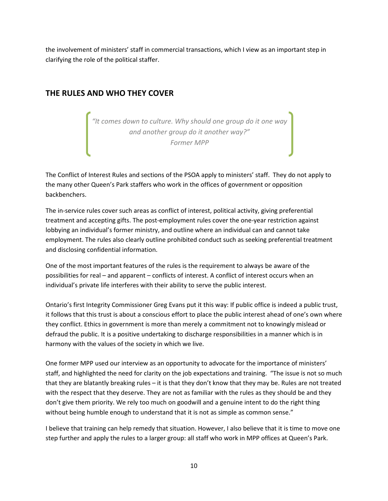the involvement of ministers' staff in commercial transactions, which I view as an important step in clarifying the role of the political staffer.

# THE RULES AND WHO THEY COVER

"It comes down to culture. Why should one group do it one way and another group do it another way?" Former MPP

The Conflict of Interest Rules and sections of the PSOA apply to ministers' staff. They do not apply to the many other Queen's Park staffers who work in the offices of government or opposition backbenchers.

The in-service rules cover such areas as conflict of interest, political activity, giving preferential treatment and accepting gifts. The post-employment rules cover the one-year restriction against lobbying an individual's former ministry, and outline where an individual can and cannot take employment. The rules also clearly outline prohibited conduct such as seeking preferential treatment and disclosing confidential information.

One of the most important features of the rules is the requirement to always be aware of the possibilities for real – and apparent – conflicts of interest. A conflict of interest occurs when an individual's private life interferes with their ability to serve the public interest.

Ontario's first Integrity Commissioner Greg Evans put it this way: If public office is indeed a public trust, it follows that this trust is about a conscious effort to place the public interest ahead of one's own where they conflict. Ethics in government is more than merely a commitment not to knowingly mislead or defraud the public. It is a positive undertaking to discharge responsibilities in a manner which is in harmony with the values of the society in which we live.

One former MPP used our interview as an opportunity to advocate for the importance of ministers' staff, and highlighted the need for clarity on the job expectations and training. "The issue is not so much that they are blatantly breaking rules – it is that they don't know that they may be. Rules are not treated with the respect that they deserve. They are not as familiar with the rules as they should be and they don't give them priority. We rely too much on goodwill and a genuine intent to do the right thing without being humble enough to understand that it is not as simple as common sense."

I believe that training can help remedy that situation. However, I also believe that it is time to move one step further and apply the rules to a larger group: all staff who work in MPP offices at Queen's Park.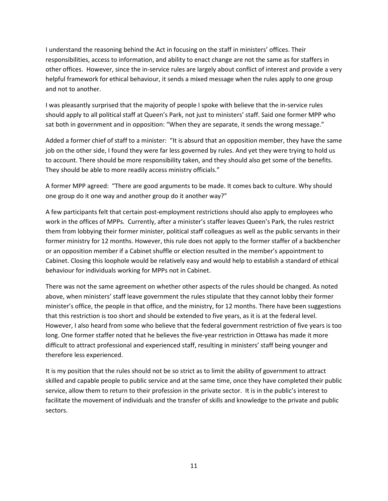I understand the reasoning behind the Act in focusing on the staff in ministers' offices. Their responsibilities, access to information, and ability to enact change are not the same as for staffers in other offices. However, since the in-service rules are largely about conflict of interest and provide a very helpful framework for ethical behaviour, it sends a mixed message when the rules apply to one group and not to another.

I was pleasantly surprised that the majority of people I spoke with believe that the in-service rules should apply to all political staff at Queen's Park, not just to ministers' staff. Said one former MPP who sat both in government and in opposition: "When they are separate, it sends the wrong message."

Added a former chief of staff to a minister: "It is absurd that an opposition member, they have the same job on the other side, I found they were far less governed by rules. And yet they were trying to hold us to account. There should be more responsibility taken, and they should also get some of the benefits. They should be able to more readily access ministry officials."

A former MPP agreed: "There are good arguments to be made. It comes back to culture. Why should one group do it one way and another group do it another way?"

A few participants felt that certain post-employment restrictions should also apply to employees who work in the offices of MPPs. Currently, after a minister's staffer leaves Queen's Park, the rules restrict them from lobbying their former minister, political staff colleagues as well as the public servants in their former ministry for 12 months. However, this rule does not apply to the former staffer of a backbencher or an opposition member if a Cabinet shuffle or election resulted in the member's appointment to Cabinet. Closing this loophole would be relatively easy and would help to establish a standard of ethical behaviour for individuals working for MPPs not in Cabinet.

There was not the same agreement on whether other aspects of the rules should be changed. As noted above, when ministers' staff leave government the rules stipulate that they cannot lobby their former minister's office, the people in that office, and the ministry, for 12 months. There have been suggestions that this restriction is too short and should be extended to five years, as it is at the federal level. However, I also heard from some who believe that the federal government restriction of five years is too long. One former staffer noted that he believes the five-year restriction in Ottawa has made it more difficult to attract professional and experienced staff, resulting in ministers' staff being younger and therefore less experienced.

It is my position that the rules should not be so strict as to limit the ability of government to attract skilled and capable people to public service and at the same time, once they have completed their public service, allow them to return to their profession in the private sector. It is in the public's interest to facilitate the movement of individuals and the transfer of skills and knowledge to the private and public sectors.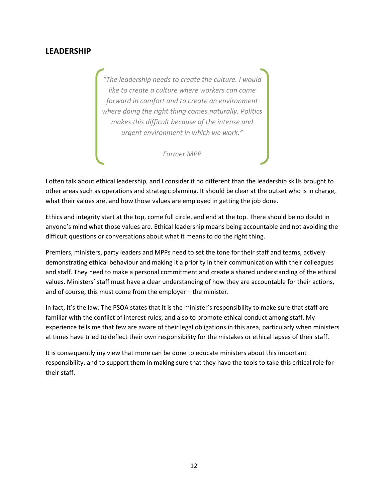# LEADERSHIP

"The leadership needs to create the culture. I would like to create a culture where workers can come forward in comfort and to create an environment where doing the right thing comes naturally. Politics makes this difficult because of the intense and urgent environment in which we work."

Former MPP

I often talk about ethical leadership, and I consider it no different than the leadership skills brought to other areas such as operations and strategic planning. It should be clear at the outset who is in charge, what their values are, and how those values are employed in getting the job done.

Ethics and integrity start at the top, come full circle, and end at the top. There should be no doubt in anyone's mind what those values are. Ethical leadership means being accountable and not avoiding the difficult questions or conversations about what it means to do the right thing.

Premiers, ministers, party leaders and MPPs need to set the tone for their staff and teams, actively demonstrating ethical behaviour and making it a priority in their communication with their colleagues and staff. They need to make a personal commitment and create a shared understanding of the ethical values. Ministers' staff must have a clear understanding of how they are accountable for their actions, and of course, this must come from the employer – the minister.

In fact, it's the law. The PSOA states that it is the minister's responsibility to make sure that staff are familiar with the conflict of interest rules, and also to promote ethical conduct among staff. My experience tells me that few are aware of their legal obligations in this area, particularly when ministers at times have tried to deflect their own responsibility for the mistakes or ethical lapses of their staff.

It is consequently my view that more can be done to educate ministers about this important responsibility, and to support them in making sure that they have the tools to take this critical role for their staff.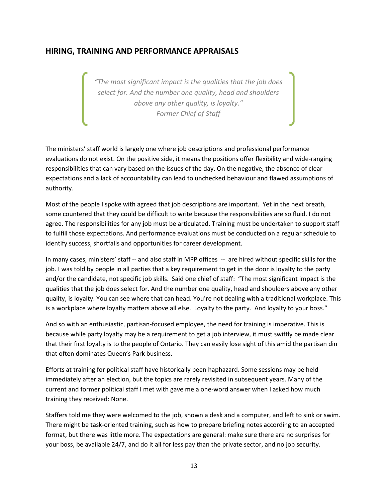## HIRING, TRAINING AND PERFORMANCE APPRAISALS

"The most significant impact is the qualities that the job does select for. And the number one quality, head and shoulders above any other quality, is loyalty." Former Chief of Staff

The ministers' staff world is largely one where job descriptions and professional performance evaluations do not exist. On the positive side, it means the positions offer flexibility and wide-ranging responsibilities that can vary based on the issues of the day. On the negative, the absence of clear expectations and a lack of accountability can lead to unchecked behaviour and flawed assumptions of authority.

Most of the people I spoke with agreed that job descriptions are important. Yet in the next breath, some countered that they could be difficult to write because the responsibilities are so fluid. I do not agree. The responsibilities for any job must be articulated. Training must be undertaken to support staff to fulfill those expectations. And performance evaluations must be conducted on a regular schedule to identify success, shortfalls and opportunities for career development.

In many cases, ministers' staff -- and also staff in MPP offices -- are hired without specific skills for the job. I was told by people in all parties that a key requirement to get in the door is loyalty to the party and/or the candidate, not specific job skills. Said one chief of staff: "The most significant impact is the qualities that the job does select for. And the number one quality, head and shoulders above any other quality, is loyalty. You can see where that can head. You're not dealing with a traditional workplace. This is a workplace where loyalty matters above all else. Loyalty to the party. And loyalty to your boss."

And so with an enthusiastic, partisan-focused employee, the need for training is imperative. This is because while party loyalty may be a requirement to get a job interview, it must swiftly be made clear that their first loyalty is to the people of Ontario. They can easily lose sight of this amid the partisan din that often dominates Queen's Park business.

Efforts at training for political staff have historically been haphazard. Some sessions may be held immediately after an election, but the topics are rarely revisited in subsequent years. Many of the current and former political staff I met with gave me a one-word answer when I asked how much training they received: None.

Staffers told me they were welcomed to the job, shown a desk and a computer, and left to sink or swim. There might be task-oriented training, such as how to prepare briefing notes according to an accepted format, but there was little more. The expectations are general: make sure there are no surprises for your boss, be available 24/7, and do it all for less pay than the private sector, and no job security.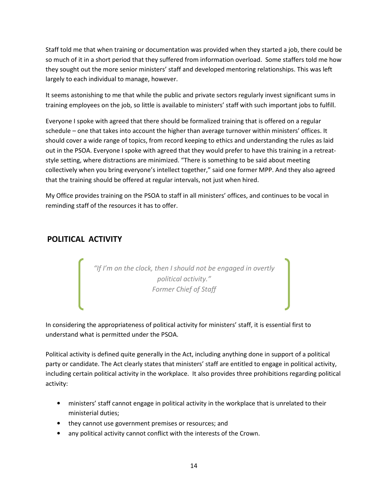Staff told me that when training or documentation was provided when they started a job, there could be so much of it in a short period that they suffered from information overload. Some staffers told me how they sought out the more senior ministers' staff and developed mentoring relationships. This was left largely to each individual to manage, however.

It seems astonishing to me that while the public and private sectors regularly invest significant sums in training employees on the job, so little is available to ministers' staff with such important jobs to fulfill.

Everyone I spoke with agreed that there should be formalized training that is offered on a regular schedule – one that takes into account the higher than average turnover within ministers' offices. It should cover a wide range of topics, from record keeping to ethics and understanding the rules as laid out in the PSOA. Everyone I spoke with agreed that they would prefer to have this training in a retreatstyle setting, where distractions are minimized. "There is something to be said about meeting collectively when you bring everyone's intellect together," said one former MPP. And they also agreed that the training should be offered at regular intervals, not just when hired.

My Office provides training on the PSOA to staff in all ministers' offices, and continues to be vocal in reminding staff of the resources it has to offer.

# POLITICAL ACTIVITY

"If I'm on the clock, then I should not be engaged in overtly political activity." Former Chief of Staff

In considering the appropriateness of political activity for ministers' staff, it is essential first to understand what is permitted under the PSOA.

Political activity is defined quite generally in the Act, including anything done in support of a political party or candidate. The Act clearly states that ministers' staff are entitled to engage in political activity, including certain political activity in the workplace. It also provides three prohibitions regarding political activity:

- ministers' staff cannot engage in political activity in the workplace that is unrelated to their ministerial duties;
- they cannot use government premises or resources; and
- any political activity cannot conflict with the interests of the Crown.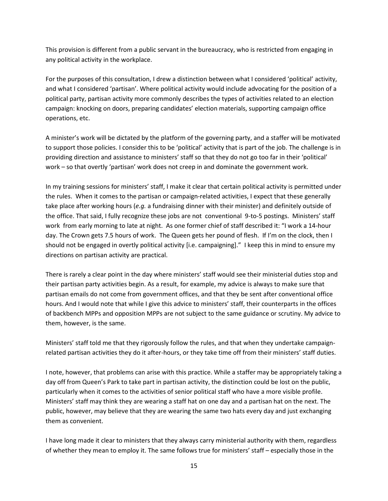This provision is different from a public servant in the bureaucracy, who is restricted from engaging in any political activity in the workplace.

For the purposes of this consultation, I drew a distinction between what I considered 'political' activity, and what I considered 'partisan'. Where political activity would include advocating for the position of a political party, partisan activity more commonly describes the types of activities related to an election campaign: knocking on doors, preparing candidates' election materials, supporting campaign office operations, etc.

A minister's work will be dictated by the platform of the governing party, and a staffer will be motivated to support those policies. I consider this to be 'political' activity that is part of the job. The challenge is in providing direction and assistance to ministers' staff so that they do not go too far in their 'political' work – so that overtly 'partisan' work does not creep in and dominate the government work.

In my training sessions for ministers' staff, I make it clear that certain political activity is permitted under the rules. When it comes to the partisan or campaign-related activities, I expect that these generally take place after working hours (e.g. a fundraising dinner with their minister) and definitely outside of the office. That said, I fully recognize these jobs are not conventional 9-to-5 postings. Ministers' staff work from early morning to late at night. As one former chief of staff described it: "I work a 14-hour day. The Crown gets 7.5 hours of work. The Queen gets her pound of flesh. If I'm on the clock, then I should not be engaged in overtly political activity [i.e. campaigning]." I keep this in mind to ensure my directions on partisan activity are practical.

There is rarely a clear point in the day where ministers' staff would see their ministerial duties stop and their partisan party activities begin. As a result, for example, my advice is always to make sure that partisan emails do not come from government offices, and that they be sent after conventional office hours. And I would note that while I give this advice to ministers' staff, their counterparts in the offices of backbench MPPs and opposition MPPs are not subject to the same guidance or scrutiny. My advice to them, however, is the same.

Ministers' staff told me that they rigorously follow the rules, and that when they undertake campaignrelated partisan activities they do it after-hours, or they take time off from their ministers' staff duties.

I note, however, that problems can arise with this practice. While a staffer may be appropriately taking a day off from Queen's Park to take part in partisan activity, the distinction could be lost on the public, particularly when it comes to the activities of senior political staff who have a more visible profile. Ministers' staff may think they are wearing a staff hat on one day and a partisan hat on the next. The public, however, may believe that they are wearing the same two hats every day and just exchanging them as convenient.

I have long made it clear to ministers that they always carry ministerial authority with them, regardless of whether they mean to employ it. The same follows true for ministers' staff – especially those in the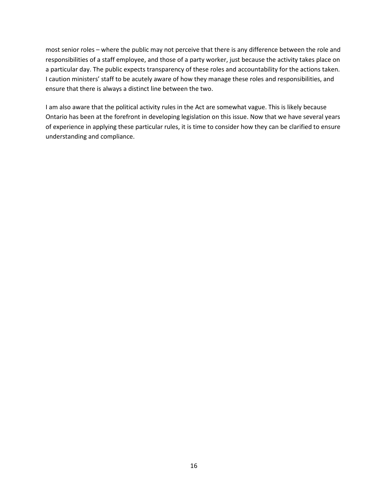most senior roles – where the public may not perceive that there is any difference between the role and responsibilities of a staff employee, and those of a party worker, just because the activity takes place on a particular day. The public expects transparency of these roles and accountability for the actions taken. I caution ministers' staff to be acutely aware of how they manage these roles and responsibilities, and ensure that there is always a distinct line between the two.

I am also aware that the political activity rules in the Act are somewhat vague. This is likely because Ontario has been at the forefront in developing legislation on this issue. Now that we have several years of experience in applying these particular rules, it is time to consider how they can be clarified to ensure understanding and compliance.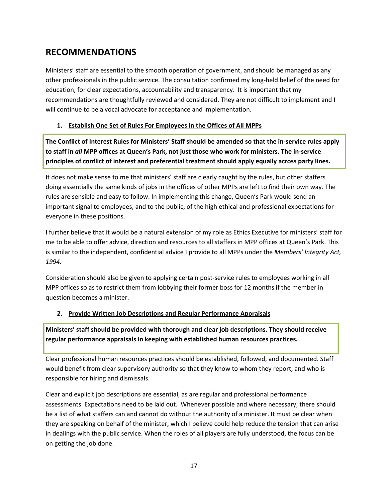# RECOMMENDATIONS

Ministers' staff are essential to the smooth operation of government, and should be managed as any other professionals in the public service. The consultation confirmed my long-held belief of the need for education, for clear expectations, accountability and transparency. It is important that my recommendations are thoughtfully reviewed and considered. They are not difficult to implement and I will continue to be a vocal advocate for acceptance and implementation.

### 1. Establish One Set of Rules For Employees in the Offices of All MPPs

The Conflict of Interest Rules for Ministers' Staff should be amended so that the in-service rules apply to staff in all MPP offices at Queen's Park, not just those who work for ministers. The in-service principles of conflict of interest and preferential treatment should apply equally across party lines.

It does not make sense to me that ministers' staff are clearly caught by the rules, but other staffers doing essentially the same kinds of jobs in the offices of other MPPs are left to find their own way. The rules are sensible and easy to follow. In implementing this change, Queen's Park would send an important signal to employees, and to the public, of the high ethical and professional expectations for everyone in these positions.

I further believe that it would be a natural extension of my role as Ethics Executive for ministers' staff for me to be able to offer advice, direction and resources to all staffers in MPP offices at Queen's Park. This is similar to the independent, confidential advice I provide to all MPPs under the Members' Integrity Act, 1994.

Consideration should also be given to applying certain post-service rules to employees working in all MPP offices so as to restrict them from lobbying their former boss for 12 months if the member in question becomes a minister.

### 2. Provide Written Job Descriptions and Regular Performance Appraisals

Ministers' staff should be provided with thorough and clear job descriptions. They should receive regular performance appraisals in keeping with established human resources practices.

Clear professional human resources practices should be established, followed, and documented. Staff would benefit from clear supervisory authority so that they know to whom they report, and who is responsible for hiring and dismissals.

Clear and explicit job descriptions are essential, as are regular and professional performance assessments. Expectations need to be laid out. Whenever possible and where necessary, there should be a list of what staffers can and cannot do without the authority of a minister. It must be clear when they are speaking on behalf of the minister, which I believe could help reduce the tension that can arise in dealings with the public service. When the roles of all players are fully understood, the focus can be on getting the job done.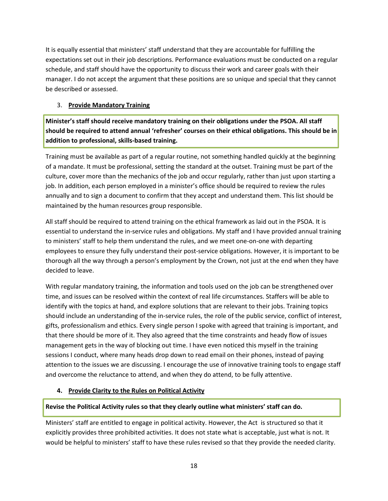It is equally essential that ministers' staff understand that they are accountable for fulfilling the expectations set out in their job descriptions. Performance evaluations must be conducted on a regular schedule, and staff should have the opportunity to discuss their work and career goals with their manager. I do not accept the argument that these positions are so unique and special that they cannot be described or assessed.

### 3. Provide Mandatory Training

Minister's staff should receive mandatory training on their obligations under the PSOA. All staff should be required to attend annual 'refresher' courses on their ethical obligations. This should be in addition to professional, skills-based training.

Training must be available as part of a regular routine, not something handled quickly at the beginning of a mandate. It must be professional, setting the standard at the outset. Training must be part of the culture, cover more than the mechanics of the job and occur regularly, rather than just upon starting a job. In addition, each person employed in a minister's office should be required to review the rules annually and to sign a document to confirm that they accept and understand them. This list should be maintained by the human resources group responsible.

All staff should be required to attend training on the ethical framework as laid out in the PSOA. It is essential to understand the in-service rules and obligations. My staff and I have provided annual training to ministers' staff to help them understand the rules, and we meet one-on-one with departing employees to ensure they fully understand their post-service obligations. However, it is important to be thorough all the way through a person's employment by the Crown, not just at the end when they have decided to leave.

With regular mandatory training, the information and tools used on the job can be strengthened over time, and issues can be resolved within the context of real life circumstances. Staffers will be able to identify with the topics at hand, and explore solutions that are relevant to their jobs. Training topics should include an understanding of the in-service rules, the role of the public service, conflict of interest, gifts, professionalism and ethics. Every single person I spoke with agreed that training is important, and that there should be more of it. They also agreed that the time constraints and heady flow of issues management gets in the way of blocking out time. I have even noticed this myself in the training sessions I conduct, where many heads drop down to read email on their phones, instead of paying attention to the issues we are discussing. I encourage the use of innovative training tools to engage staff and overcome the reluctance to attend, and when they do attend, to be fully attentive.

### 4. Provide Clarity to the Rules on Political Activity

### Revise the Political Activity rules so that they clearly outline what ministers' staff can do.

Ministers' staff are entitled to engage in political activity. However, the Act is structured so that it explicitly provides three prohibited activities. It does not state what is acceptable, just what is not. It would be helpful to ministers' staff to have these rules revised so that they provide the needed clarity.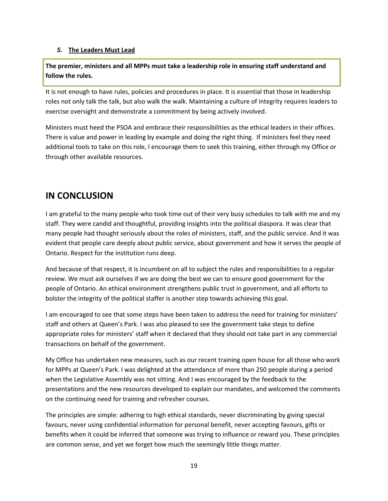#### 5. The Leaders Must Lead

The premier, ministers and all MPPs must take a leadership role in ensuring staff understand and follow the rules.

It is not enough to have rules, policies and procedures in place. It is essential that those in leadership roles not only talk the talk, but also walk the walk. Maintaining a culture of integrity requires leaders to exercise oversight and demonstrate a commitment by being actively involved.

Ministers must heed the PSOA and embrace their responsibilities as the ethical leaders in their offices. There is value and power in leading by example and doing the right thing. If ministers feel they need additional tools to take on this role, I encourage them to seek this training, either through my Office or through other available resources.

# IN CONCLUSION

I am grateful to the many people who took time out of their very busy schedules to talk with me and my staff. They were candid and thoughtful, providing insights into the political diaspora. It was clear that many people had thought seriously about the roles of ministers, staff, and the public service. And it was evident that people care deeply about public service, about government and how it serves the people of Ontario. Respect for the institution runs deep.

And because of that respect, it is incumbent on all to subject the rules and responsibilities to a regular review. We must ask ourselves if we are doing the best we can to ensure good government for the people of Ontario. An ethical environment strengthens public trust in government, and all efforts to bolster the integrity of the political staffer is another step towards achieving this goal.

I am encouraged to see that some steps have been taken to address the need for training for ministers' staff and others at Queen's Park. I was also pleased to see the government take steps to define appropriate roles for ministers' staff when it declared that they should not take part in any commercial transactions on behalf of the government.

My Office has undertaken new measures, such as our recent training open house for all those who work for MPPs at Queen's Park. I was delighted at the attendance of more than 250 people during a period when the Legislative Assembly was not sitting. And I was encouraged by the feedback to the presentations and the new resources developed to explain our mandates, and welcomed the comments on the continuing need for training and refresher courses.

The principles are simple: adhering to high ethical standards, never discriminating by giving special favours, never using confidential information for personal benefit, never accepting favours, gifts or benefits when it could be inferred that someone was trying to influence or reward you. These principles are common sense, and yet we forget how much the seemingly little things matter.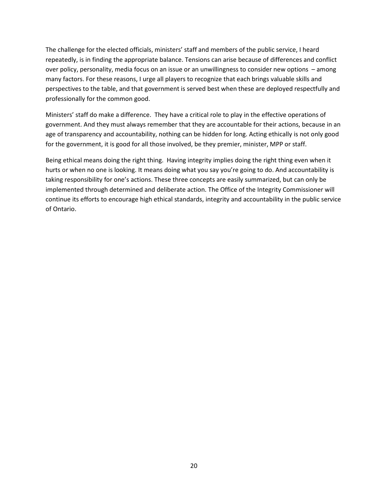The challenge for the elected officials, ministers' staff and members of the public service, I heard repeatedly, is in finding the appropriate balance. Tensions can arise because of differences and conflict over policy, personality, media focus on an issue or an unwillingness to consider new options – among many factors. For these reasons, I urge all players to recognize that each brings valuable skills and perspectives to the table, and that government is served best when these are deployed respectfully and professionally for the common good.

Ministers' staff do make a difference. They have a critical role to play in the effective operations of government. And they must always remember that they are accountable for their actions, because in an age of transparency and accountability, nothing can be hidden for long. Acting ethically is not only good for the government, it is good for all those involved, be they premier, minister, MPP or staff.

Being ethical means doing the right thing. Having integrity implies doing the right thing even when it hurts or when no one is looking. It means doing what you say you're going to do. And accountability is taking responsibility for one's actions. These three concepts are easily summarized, but can only be implemented through determined and deliberate action. The Office of the Integrity Commissioner will continue its efforts to encourage high ethical standards, integrity and accountability in the public service of Ontario.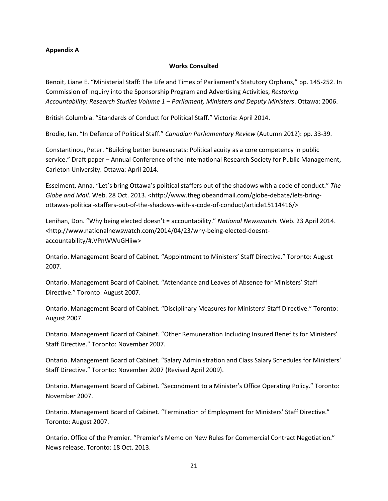#### Appendix A

#### Works Consulted

Benoit, Liane E. "Ministerial Staff: The Life and Times of Parliament's Statutory Orphans," pp. 145-252. In Commission of Inquiry into the Sponsorship Program and Advertising Activities, Restoring Accountability: Research Studies Volume 1 – Parliament, Ministers and Deputy Ministers. Ottawa: 2006.

British Columbia. "Standards of Conduct for Political Staff." Victoria: April 2014.

Brodie, Ian. "In Defence of Political Staff." Canadian Parliamentary Review (Autumn 2012): pp. 33-39.

Constantinou, Peter. "Building better bureaucrats: Political acuity as a core competency in public service." Draft paper – Annual Conference of the International Research Society for Public Management, Carleton University. Ottawa: April 2014.

Esselment, Anna. "Let's bring Ottawa's political staffers out of the shadows with a code of conduct." The Globe and Mail. Web. 28 Oct. 2013. <http://www.theglobeandmail.com/globe-debate/lets-bringottawas-political-staffers-out-of-the-shadows-with-a-code-of-conduct/article15114416/>

Lenihan, Don. "Why being elected doesn't = accountability." National Newswatch. Web. 23 April 2014. <http://www.nationalnewswatch.com/2014/04/23/why-being-elected-doesntaccountability/#.VPnWWuGHiiw>

Ontario. Management Board of Cabinet. "Appointment to Ministers' Staff Directive." Toronto: August 2007.

Ontario. Management Board of Cabinet. "Attendance and Leaves of Absence for Ministers' Staff Directive." Toronto: August 2007.

Ontario. Management Board of Cabinet. "Disciplinary Measures for Ministers' Staff Directive." Toronto: August 2007.

Ontario. Management Board of Cabinet. "Other Remuneration Including Insured Benefits for Ministers' Staff Directive." Toronto: November 2007.

Ontario. Management Board of Cabinet. "Salary Administration and Class Salary Schedules for Ministers' Staff Directive." Toronto: November 2007 (Revised April 2009).

Ontario. Management Board of Cabinet. "Secondment to a Minister's Office Operating Policy." Toronto: November 2007.

Ontario. Management Board of Cabinet. "Termination of Employment for Ministers' Staff Directive." Toronto: August 2007.

Ontario. Office of the Premier. "Premier's Memo on New Rules for Commercial Contract Negotiation." News release. Toronto: 18 Oct. 2013.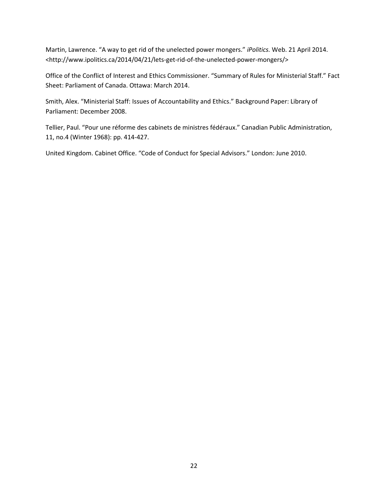Martin, Lawrence. "A way to get rid of the unelected power mongers." iPolitics. Web. 21 April 2014. <http://www.ipolitics.ca/2014/04/21/lets-get-rid-of-the-unelected-power-mongers/>

Office of the Conflict of Interest and Ethics Commissioner. "Summary of Rules for Ministerial Staff." Fact Sheet: Parliament of Canada. Ottawa: March 2014.

Smith, Alex. "Ministerial Staff: Issues of Accountability and Ethics." Background Paper: Library of Parliament: December 2008.

Tellier, Paul. "Pour une réforme des cabinets de ministres fédéraux." Canadian Public Administration, 11, no.4 (Winter 1968): pp. 414-427.

United Kingdom. Cabinet Office. "Code of Conduct for Special Advisors." London: June 2010.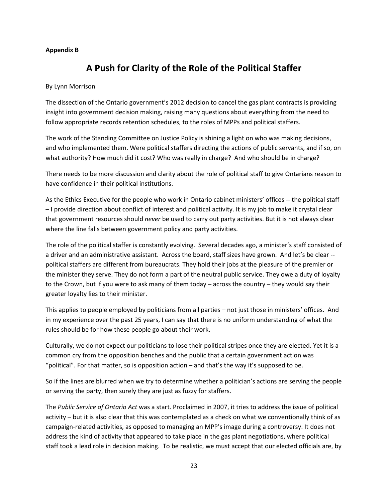#### Appendix B

# A Push for Clarity of the Role of the Political Staffer

#### By Lynn Morrison

The dissection of the Ontario government's 2012 decision to cancel the gas plant contracts is providing insight into government decision making, raising many questions about everything from the need to follow appropriate records retention schedules, to the roles of MPPs and political staffers.

The work of the Standing Committee on Justice Policy is shining a light on who was making decisions, and who implemented them. Were political staffers directing the actions of public servants, and if so, on what authority? How much did it cost? Who was really in charge? And who should be in charge?

There needs to be more discussion and clarity about the role of political staff to give Ontarians reason to have confidence in their political institutions.

As the Ethics Executive for the people who work in Ontario cabinet ministers' offices -- the political staff – I provide direction about conflict of interest and political activity. It is my job to make it crystal clear that government resources should never be used to carry out party activities. But it is not always clear where the line falls between government policy and party activities.

The role of the political staffer is constantly evolving. Several decades ago, a minister's staff consisted of a driver and an administrative assistant. Across the board, staff sizes have grown. And let's be clear - political staffers are different from bureaucrats. They hold their jobs at the pleasure of the premier or the minister they serve. They do not form a part of the neutral public service. They owe a duty of loyalty to the Crown, but if you were to ask many of them today – across the country – they would say their greater loyalty lies to their minister.

This applies to people employed by politicians from all parties – not just those in ministers' offices. And in my experience over the past 25 years, I can say that there is no uniform understanding of what the rules should be for how these people go about their work.

Culturally, we do not expect our politicians to lose their political stripes once they are elected. Yet it is a common cry from the opposition benches and the public that a certain government action was "political". For that matter, so is opposition action – and that's the way it's supposed to be.

So if the lines are blurred when we try to determine whether a politician's actions are serving the people or serving the party, then surely they are just as fuzzy for staffers.

The Public Service of Ontario Act was a start. Proclaimed in 2007, it tries to address the issue of political activity – but it is also clear that this was contemplated as a check on what we conventionally think of as campaign-related activities, as opposed to managing an MPP's image during a controversy. It does not address the kind of activity that appeared to take place in the gas plant negotiations, where political staff took a lead role in decision making. To be realistic, we must accept that our elected officials are, by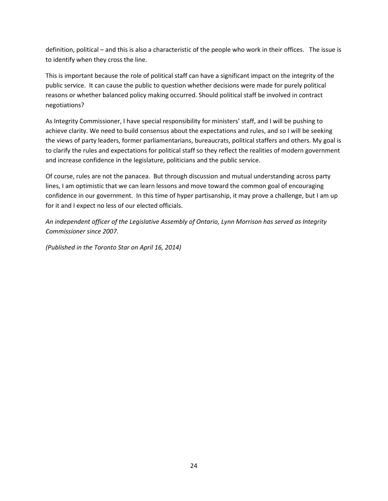definition, political – and this is also a characteristic of the people who work in their offices. The issue is to identify when they cross the line.

This is important because the role of political staff can have a significant impact on the integrity of the public service. It can cause the public to question whether decisions were made for purely political reasons or whether balanced policy making occurred. Should political staff be involved in contract negotiations?

As Integrity Commissioner, I have special responsibility for ministers' staff, and I will be pushing to achieve clarity. We need to build consensus about the expectations and rules, and so I will be seeking the views of party leaders, former parliamentarians, bureaucrats, political staffers and others. My goal is to clarify the rules and expectations for political staff so they reflect the realities of modern government and increase confidence in the legislature, politicians and the public service.

Of course, rules are not the panacea. But through discussion and mutual understanding across party lines, I am optimistic that we can learn lessons and move toward the common goal of encouraging confidence in our government. In this time of hyper partisanship, it may prove a challenge, but I am up for it and I expect no less of our elected officials.

An independent officer of the Legislative Assembly of Ontario, Lynn Morrison has served as Integrity Commissioner since 2007.

(Published in the Toronto Star on April 16, 2014)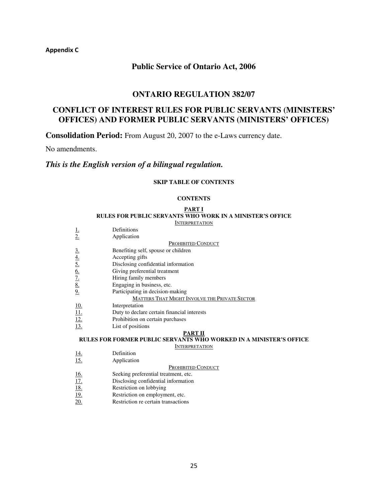Appendix C

## **Public Service of Ontario Act, 2006**

### **ONTARIO REGULATION 382/07**

# **CONFLICT OF INTEREST RULES FOR PUBLIC SERVANTS (MINISTERS' OFFICES) AND FORMER PUBLIC SERVANTS (MINISTERS' OFFICES)**

**Consolidation Period:** From August 20, 2007 to the e-Laws currency date.

No amendments.

# *This is the English version of a bilingual regulation.*

#### **SKIP TABLE OF CONTENTS**

#### **CONTENTS**

#### **PART I RULES FOR PUBLIC SERVANTS WHO WORK IN A MINISTER'S OFFICE**

**INTERPRETATION** 

**MINISTER'S OFFICE** 

|                                            | Definitions                                          |
|--------------------------------------------|------------------------------------------------------|
| $\frac{1}{2}$                              | Application                                          |
|                                            | <b>PROHIBITED CONDUCT</b>                            |
|                                            | Benefiting self, spouse or children                  |
|                                            | Accepting gifts                                      |
|                                            | Disclosing confidential information                  |
| $\frac{3.4}{4.5.6}$<br>$\frac{6.7}{8.9.4}$ | Giving preferential treatment                        |
|                                            | Hiring family members                                |
|                                            | Engaging in business, etc.                           |
|                                            | Participating in decision-making                     |
|                                            | <b>MATTERS THAT MIGHT INVOLVE THE PRIVATE SECTOR</b> |
|                                            | Interpretation                                       |
| $\frac{10}{11}$<br>$\frac{12}{13}$         | Duty to declare certain financial interests          |
|                                            | Prohibition on certain purchases                     |
|                                            | List of positions                                    |
|                                            | PART II                                              |
|                                            | RULES FOR FORMER PUBLIC SERVANTS WHO WORKED IN A M   |
|                                            | <b>INTERPRETATION</b>                                |
| <u>14.</u>                                 | Definition                                           |
| 15.                                        | Application                                          |
|                                            | <b>PROHIBITED CONDUCT</b>                            |

- 
- 16. Seeking preferential treatment, etc.<br>17. Disclosing confidential information
- 17. Disclosing confidential information<br>18. Restriction on lobbying
- 18. Restriction on lobbying<br>19. Restriction on employm Restriction on employment, etc.
- 20. Restriction re certain transactions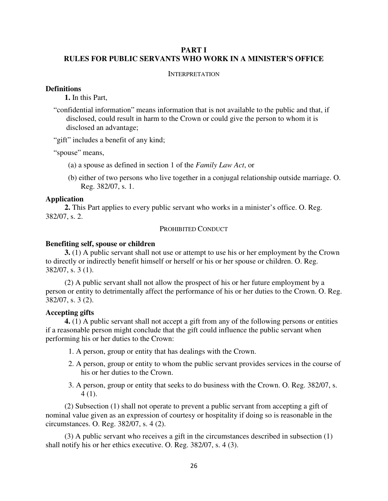### **PART I RULES FOR PUBLIC SERVANTS WHO WORK IN A MINISTER'S OFFICE**

#### INTERPRETATION

#### **Definitions**

**1.** In this Part,

"confidential information" means information that is not available to the public and that, if disclosed, could result in harm to the Crown or could give the person to whom it is disclosed an advantage;

"gift" includes a benefit of any kind;

"spouse" means,

- (a) a spouse as defined in section 1 of the *Family Law Act*, or
- (b) either of two persons who live together in a conjugal relationship outside marriage. O. Reg. 382/07, s. 1.

#### **Application**

**2.** This Part applies to every public servant who works in a minister's office. O. Reg. 382/07, s. 2.

#### PROHIBITED CONDUCT

#### **Benefiting self, spouse or children**

**3.** (1) A public servant shall not use or attempt to use his or her employment by the Crown to directly or indirectly benefit himself or herself or his or her spouse or children. O. Reg. 382/07, s. 3 (1).

(2) A public servant shall not allow the prospect of his or her future employment by a person or entity to detrimentally affect the performance of his or her duties to the Crown. O. Reg. 382/07, s. 3 (2).

#### **Accepting gifts**

**4.** (1) A public servant shall not accept a gift from any of the following persons or entities if a reasonable person might conclude that the gift could influence the public servant when performing his or her duties to the Crown:

- 1. A person, group or entity that has dealings with the Crown.
- 2. A person, group or entity to whom the public servant provides services in the course of his or her duties to the Crown.
- 3. A person, group or entity that seeks to do business with the Crown. O. Reg. 382/07, s. 4 (1).

(2) Subsection (1) shall not operate to prevent a public servant from accepting a gift of nominal value given as an expression of courtesy or hospitality if doing so is reasonable in the circumstances. O. Reg. 382/07, s. 4 (2).

(3) A public servant who receives a gift in the circumstances described in subsection (1) shall notify his or her ethics executive. O. Reg. 382/07, s. 4 (3).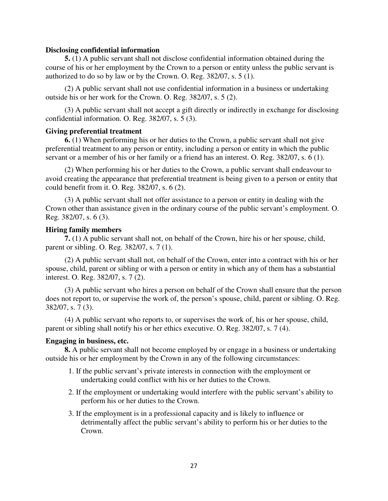#### **Disclosing confidential information**

**5.** (1) A public servant shall not disclose confidential information obtained during the course of his or her employment by the Crown to a person or entity unless the public servant is authorized to do so by law or by the Crown. O. Reg. 382/07, s. 5 (1).

(2) A public servant shall not use confidential information in a business or undertaking outside his or her work for the Crown. O. Reg. 382/07, s. 5 (2).

(3) A public servant shall not accept a gift directly or indirectly in exchange for disclosing confidential information. O. Reg. 382/07, s. 5 (3).

#### **Giving preferential treatment**

**6.** (1) When performing his or her duties to the Crown, a public servant shall not give preferential treatment to any person or entity, including a person or entity in which the public servant or a member of his or her family or a friend has an interest. O. Reg. 382/07, s. 6 (1).

(2) When performing his or her duties to the Crown, a public servant shall endeavour to avoid creating the appearance that preferential treatment is being given to a person or entity that could benefit from it. O. Reg. 382/07, s. 6 (2).

(3) A public servant shall not offer assistance to a person or entity in dealing with the Crown other than assistance given in the ordinary course of the public servant's employment. O. Reg. 382/07, s. 6 (3).

#### **Hiring family members**

**7.** (1) A public servant shall not, on behalf of the Crown, hire his or her spouse, child, parent or sibling. O. Reg. 382/07, s. 7 (1).

(2) A public servant shall not, on behalf of the Crown, enter into a contract with his or her spouse, child, parent or sibling or with a person or entity in which any of them has a substantial interest. O. Reg. 382/07, s. 7 (2).

(3) A public servant who hires a person on behalf of the Crown shall ensure that the person does not report to, or supervise the work of, the person's spouse, child, parent or sibling. O. Reg. 382/07, s. 7 (3).

(4) A public servant who reports to, or supervises the work of, his or her spouse, child, parent or sibling shall notify his or her ethics executive. O. Reg. 382/07, s. 7 (4).

### **Engaging in business, etc.**

**8.** A public servant shall not become employed by or engage in a business or undertaking outside his or her employment by the Crown in any of the following circumstances:

- 1. If the public servant's private interests in connection with the employment or undertaking could conflict with his or her duties to the Crown.
- 2. If the employment or undertaking would interfere with the public servant's ability to perform his or her duties to the Crown.
- 3. If the employment is in a professional capacity and is likely to influence or detrimentally affect the public servant's ability to perform his or her duties to the Crown.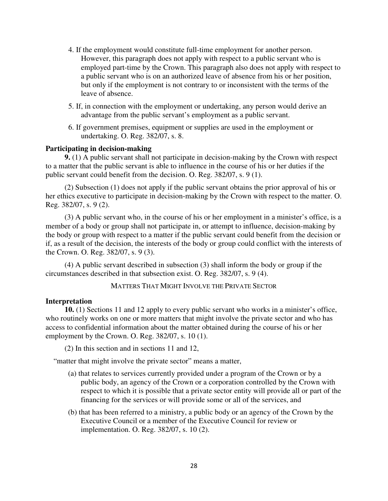- 4. If the employment would constitute full-time employment for another person. However, this paragraph does not apply with respect to a public servant who is employed part-time by the Crown. This paragraph also does not apply with respect to a public servant who is on an authorized leave of absence from his or her position, but only if the employment is not contrary to or inconsistent with the terms of the leave of absence.
- 5. If, in connection with the employment or undertaking, any person would derive an advantage from the public servant's employment as a public servant.
- 6. If government premises, equipment or supplies are used in the employment or undertaking. O. Reg. 382/07, s. 8.

#### **Participating in decision-making**

**9.** (1) A public servant shall not participate in decision-making by the Crown with respect to a matter that the public servant is able to influence in the course of his or her duties if the public servant could benefit from the decision. O. Reg. 382/07, s. 9 (1).

(2) Subsection (1) does not apply if the public servant obtains the prior approval of his or her ethics executive to participate in decision-making by the Crown with respect to the matter. O. Reg. 382/07, s. 9 (2).

(3) A public servant who, in the course of his or her employment in a minister's office, is a member of a body or group shall not participate in, or attempt to influence, decision-making by the body or group with respect to a matter if the public servant could benefit from the decision or if, as a result of the decision, the interests of the body or group could conflict with the interests of the Crown. O. Reg. 382/07, s. 9 (3).

(4) A public servant described in subsection (3) shall inform the body or group if the circumstances described in that subsection exist. O. Reg. 382/07, s. 9 (4).

#### MATTERS THAT MIGHT INVOLVE THE PRIVATE SECTOR

#### **Interpretation**

**10.** (1) Sections 11 and 12 apply to every public servant who works in a minister's office, who routinely works on one or more matters that might involve the private sector and who has access to confidential information about the matter obtained during the course of his or her employment by the Crown. O. Reg. 382/07, s. 10 (1).

(2) In this section and in sections 11 and 12,

"matter that might involve the private sector" means a matter,

- (a) that relates to services currently provided under a program of the Crown or by a public body, an agency of the Crown or a corporation controlled by the Crown with respect to which it is possible that a private sector entity will provide all or part of the financing for the services or will provide some or all of the services, and
- (b) that has been referred to a ministry, a public body or an agency of the Crown by the Executive Council or a member of the Executive Council for review or implementation. O. Reg. 382/07, s. 10 (2).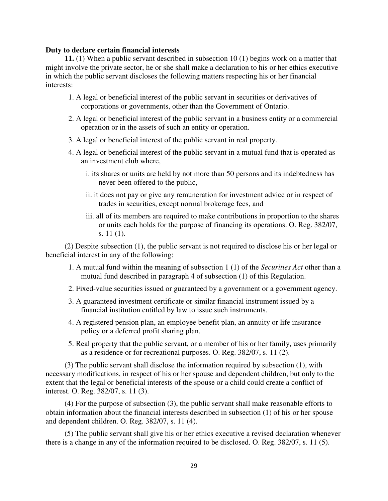#### **Duty to declare certain financial interests**

**11.** (1) When a public servant described in subsection 10 (1) begins work on a matter that might involve the private sector, he or she shall make a declaration to his or her ethics executive in which the public servant discloses the following matters respecting his or her financial interests:

- 1. A legal or beneficial interest of the public servant in securities or derivatives of corporations or governments, other than the Government of Ontario.
- 2. A legal or beneficial interest of the public servant in a business entity or a commercial operation or in the assets of such an entity or operation.
- 3. A legal or beneficial interest of the public servant in real property.
- 4. A legal or beneficial interest of the public servant in a mutual fund that is operated as an investment club where,
	- i. its shares or units are held by not more than 50 persons and its indebtedness has never been offered to the public,
	- ii. it does not pay or give any remuneration for investment advice or in respect of trades in securities, except normal brokerage fees, and
	- iii. all of its members are required to make contributions in proportion to the shares or units each holds for the purpose of financing its operations. O. Reg. 382/07, s. 11 (1).

(2) Despite subsection (1), the public servant is not required to disclose his or her legal or beneficial interest in any of the following:

- 1. A mutual fund within the meaning of subsection 1 (1) of the *Securities Act* other than a mutual fund described in paragraph 4 of subsection (1) of this Regulation.
- 2. Fixed-value securities issued or guaranteed by a government or a government agency.
- 3. A guaranteed investment certificate or similar financial instrument issued by a financial institution entitled by law to issue such instruments.
- 4. A registered pension plan, an employee benefit plan, an annuity or life insurance policy or a deferred profit sharing plan.
- 5. Real property that the public servant, or a member of his or her family, uses primarily as a residence or for recreational purposes. O. Reg. 382/07, s. 11 (2).

(3) The public servant shall disclose the information required by subsection (1), with necessary modifications, in respect of his or her spouse and dependent children, but only to the extent that the legal or beneficial interests of the spouse or a child could create a conflict of interest. O. Reg. 382/07, s. 11 (3).

(4) For the purpose of subsection (3), the public servant shall make reasonable efforts to obtain information about the financial interests described in subsection (1) of his or her spouse and dependent children. O. Reg. 382/07, s. 11 (4).

(5) The public servant shall give his or her ethics executive a revised declaration whenever there is a change in any of the information required to be disclosed. O. Reg. 382/07, s. 11 (5).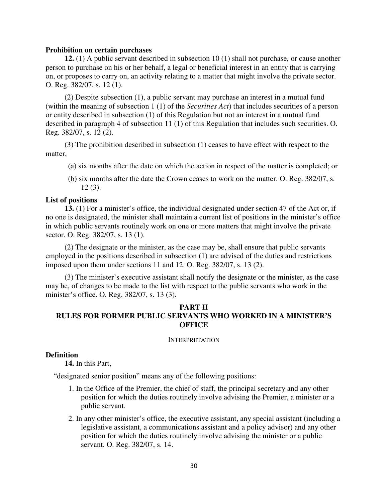#### **Prohibition on certain purchases**

**12.** (1) A public servant described in subsection 10 (1) shall not purchase, or cause another person to purchase on his or her behalf, a legal or beneficial interest in an entity that is carrying on, or proposes to carry on, an activity relating to a matter that might involve the private sector. O. Reg. 382/07, s. 12 (1).

(2) Despite subsection (1), a public servant may purchase an interest in a mutual fund (within the meaning of subsection 1 (1) of the *Securities Act*) that includes securities of a person or entity described in subsection (1) of this Regulation but not an interest in a mutual fund described in paragraph 4 of subsection 11 (1) of this Regulation that includes such securities. O. Reg. 382/07, s. 12 (2).

(3) The prohibition described in subsection (1) ceases to have effect with respect to the matter,

(a) six months after the date on which the action in respect of the matter is completed; or

(b) six months after the date the Crown ceases to work on the matter. O. Reg. 382/07, s. 12 (3).

#### **List of positions**

**13.** (1) For a minister's office, the individual designated under section 47 of the Act or, if no one is designated, the minister shall maintain a current list of positions in the minister's office in which public servants routinely work on one or more matters that might involve the private sector. O. Reg. 382/07, s. 13 (1).

(2) The designate or the minister, as the case may be, shall ensure that public servants employed in the positions described in subsection (1) are advised of the duties and restrictions imposed upon them under sections 11 and 12. O. Reg. 382/07, s. 13 (2).

(3) The minister's executive assistant shall notify the designate or the minister, as the case may be, of changes to be made to the list with respect to the public servants who work in the minister's office. O. Reg. 382/07, s. 13 (3).

### **PART II RULES FOR FORMER PUBLIC SERVANTS WHO WORKED IN A MINISTER'S OFFICE**

#### INTERPRETATION

### **Definition**

**14.** In this Part,

"designated senior position" means any of the following positions:

- 1. In the Office of the Premier, the chief of staff, the principal secretary and any other position for which the duties routinely involve advising the Premier, a minister or a public servant.
- 2. In any other minister's office, the executive assistant, any special assistant (including a legislative assistant, a communications assistant and a policy advisor) and any other position for which the duties routinely involve advising the minister or a public servant. O. Reg. 382/07, s. 14.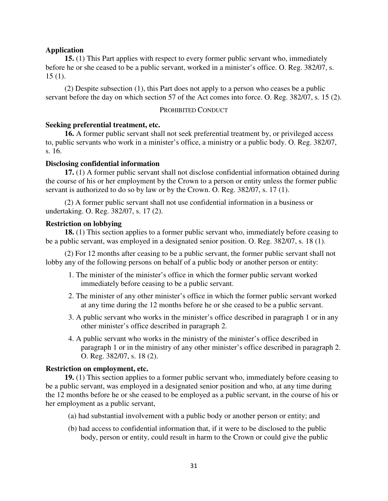#### **Application**

**15.** (1) This Part applies with respect to every former public servant who, immediately before he or she ceased to be a public servant, worked in a minister's office. O. Reg. 382/07, s. 15 (1).

(2) Despite subsection (1), this Part does not apply to a person who ceases be a public servant before the day on which section 57 of the Act comes into force. O. Reg. 382/07, s. 15 (2).

#### PROHIBITED CONDUCT

#### **Seeking preferential treatment, etc.**

**16.** A former public servant shall not seek preferential treatment by, or privileged access to, public servants who work in a minister's office, a ministry or a public body. O. Reg. 382/07, s. 16.

#### **Disclosing confidential information**

**17.** (1) A former public servant shall not disclose confidential information obtained during the course of his or her employment by the Crown to a person or entity unless the former public servant is authorized to do so by law or by the Crown. O. Reg. 382/07, s. 17 (1).

(2) A former public servant shall not use confidential information in a business or undertaking. O. Reg. 382/07, s. 17 (2).

#### **Restriction on lobbying**

**18.** (1) This section applies to a former public servant who, immediately before ceasing to be a public servant, was employed in a designated senior position. O. Reg. 382/07, s. 18 (1).

(2) For 12 months after ceasing to be a public servant, the former public servant shall not lobby any of the following persons on behalf of a public body or another person or entity:

- 1. The minister of the minister's office in which the former public servant worked immediately before ceasing to be a public servant.
- 2. The minister of any other minister's office in which the former public servant worked at any time during the 12 months before he or she ceased to be a public servant.
- 3. A public servant who works in the minister's office described in paragraph 1 or in any other minister's office described in paragraph 2.
- 4. A public servant who works in the ministry of the minister's office described in paragraph 1 or in the ministry of any other minister's office described in paragraph 2. O. Reg. 382/07, s. 18 (2).

#### **Restriction on employment, etc.**

**19.** (1) This section applies to a former public servant who, immediately before ceasing to be a public servant, was employed in a designated senior position and who, at any time during the 12 months before he or she ceased to be employed as a public servant, in the course of his or her employment as a public servant,

- (a) had substantial involvement with a public body or another person or entity; and
- (b) had access to confidential information that, if it were to be disclosed to the public body, person or entity, could result in harm to the Crown or could give the public